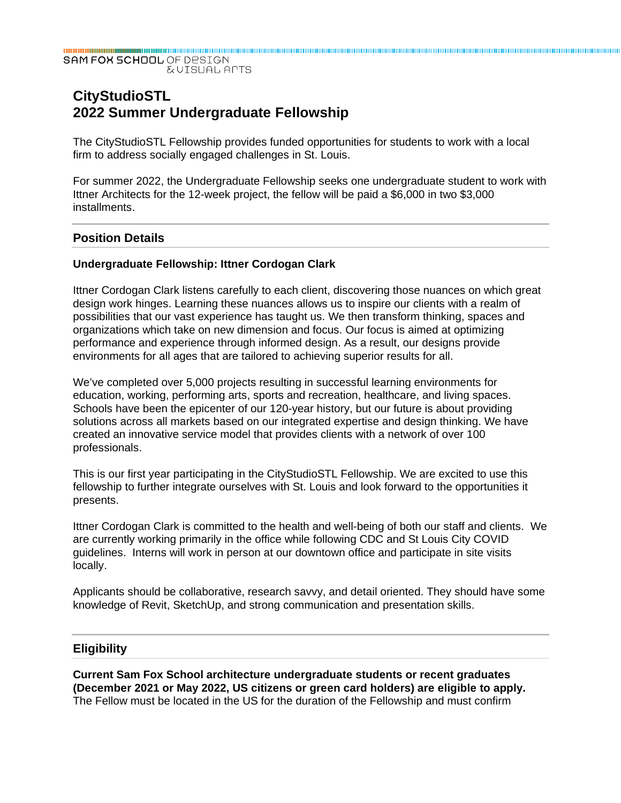SAM FOX SCHOOL OF DESIGN **EVISUAL APTS** 

# **CityStudioSTL 2022 Summer Undergraduate Fellowship**

The CityStudioSTL Fellowship provides funded opportunities for students to work with a local firm to address socially engaged challenges in St. Louis.

For summer 2022, the Undergraduate Fellowship seeks one undergraduate student to work with Ittner Architects for the 12-week project, the fellow will be paid a \$6,000 in two \$3,000 installments.

## **Position Details**

#### **Undergraduate Fellowship: Ittner Cordogan Clark**

Ittner Cordogan Clark listens carefully to each client, discovering those nuances on which great design work hinges. Learning these nuances allows us to inspire our clients with a realm of possibilities that our vast experience has taught us. We then transform thinking, spaces and organizations which take on new dimension and focus. Our focus is aimed at optimizing performance and experience through informed design. As a result, our designs provide environments for all ages that are tailored to achieving superior results for all.

We've completed over 5,000 projects resulting in successful learning environments for education, working, performing arts, sports and recreation, healthcare, and living spaces. Schools have been the epicenter of our 120-year history, but our future is about providing solutions across all markets based on our integrated expertise and design thinking. We have created an innovative service model that provides clients with a network of over 100 professionals.

This is our first year participating in the CityStudioSTL Fellowship. We are excited to use this fellowship to further integrate ourselves with St. Louis and look forward to the opportunities it presents.

Ittner Cordogan Clark is committed to the health and well-being of both our staff and clients. We are currently working primarily in the office while following CDC and St Louis City COVID guidelines. Interns will work in person at our downtown office and participate in site visits locally.

Applicants should be collaborative, research savvy, and detail oriented. They should have some knowledge of Revit, SketchUp, and strong communication and presentation skills.

#### **Eligibility**

**Current Sam Fox School architecture undergraduate students or recent graduates (December 2021 or May 2022, US citizens or green card holders) are eligible to apply.**  The Fellow must be located in the US for the duration of the Fellowship and must confirm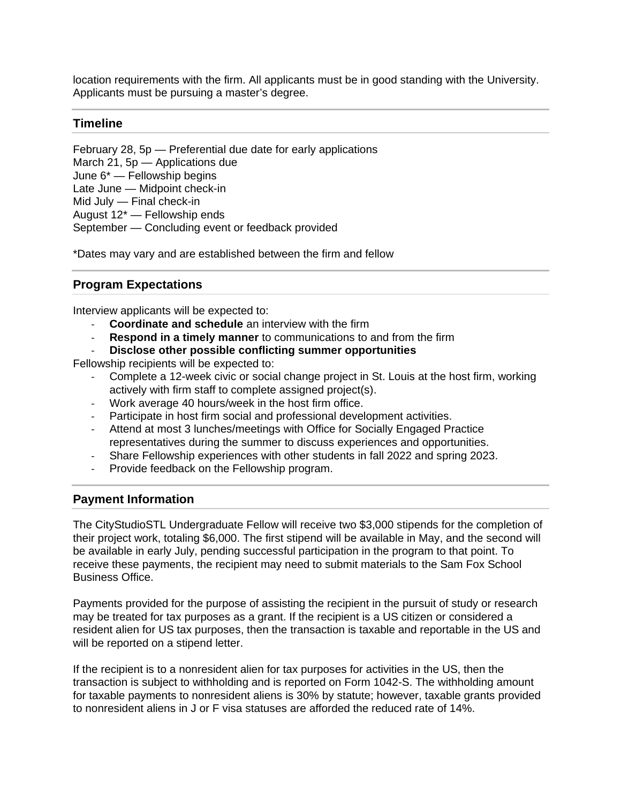location requirements with the firm. All applicants must be in good standing with the University. Applicants must be pursuing a master's degree.

## **Timeline**

February 28, 5p — Preferential due date for early applications March 21, 5p — Applications due June 6\* — Fellowship begins Late June — Midpoint check-in Mid July — Final check-in August 12\* — Fellowship ends September — Concluding event or feedback provided

\*Dates may vary and are established between the firm and fellow

## **Program Expectations**

Interview applicants will be expected to:

- ‐ **Coordinate and schedule** an interview with the firm
- **Respond in a timely manner** to communications to and from the firm
- ‐ **Disclose other possible conflicting summer opportunities**

Fellowship recipients will be expected to:

- ‐ Complete a 12-week civic or social change project in St. Louis at the host firm, working actively with firm staff to complete assigned project(s).
- ‐ Work average 40 hours/week in the host firm office.
- ‐ Participate in host firm social and professional development activities.
- ‐ Attend at most 3 lunches/meetings with Office for Socially Engaged Practice representatives during the summer to discuss experiences and opportunities.
- ‐ Share Fellowship experiences with other students in fall 2022 and spring 2023.
- ‐ Provide feedback on the Fellowship program.

## **Payment Information**

The CityStudioSTL Undergraduate Fellow will receive two \$3,000 stipends for the completion of their project work, totaling \$6,000. The first stipend will be available in May, and the second will be available in early July, pending successful participation in the program to that point. To receive these payments, the recipient may need to submit materials to the Sam Fox School Business Office.

Payments provided for the purpose of assisting the recipient in the pursuit of study or research may be treated for tax purposes as a grant. If the recipient is a US citizen or considered a resident alien for US tax purposes, then the transaction is taxable and reportable in the US and will be reported on a stipend letter.

If the recipient is to a nonresident alien for tax purposes for activities in the US, then the transaction is subject to withholding and is reported on Form 1042-S. The withholding amount for taxable payments to nonresident aliens is 30% by statute; however, taxable grants provided to nonresident aliens in J or F visa statuses are afforded the reduced rate of 14%.